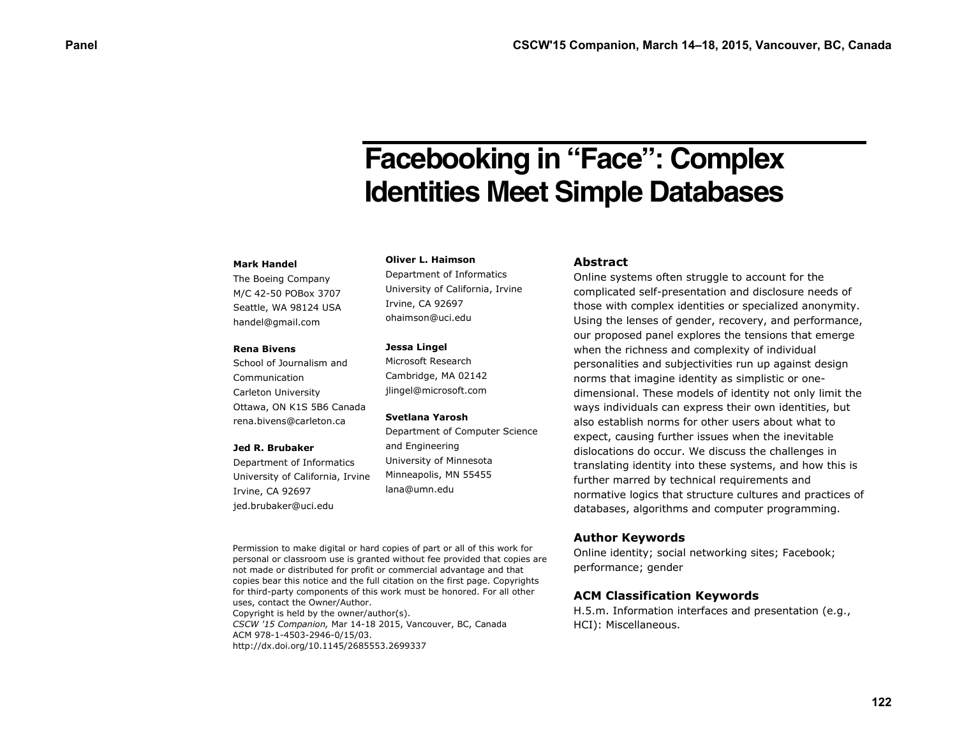# **Facebooking in "Face": Complex Identities Meet Simple Databases**

### **Mark Handel**

The Boeing Company M/C 42-50 POBox 3707 Seattle, WA 98124 USA handel@gmail.com

#### **Rena Bivens**

School of Journalism and Communication Carleton University Ottawa, ON K1S 5B6 Canada rena.bivens@carleton.ca

#### **Jed R. Brubaker**

Department of Informatics University of California, Irvine Irvine, CA 92697 jed.brubaker@uci.edu

## **Oliver L. Haimson**

Department of Informatics University of California, Irvine Irvine, CA 92697 ohaimson@uci.edu

### **Jessa Lingel**

Microsoft Research Cambridge, MA 02142 jlingel@microsoft.com

## **Svetlana Yarosh**

Department of Computer Science and Engineering University of Minnesota Minneapolis, MN 55455 lana@umn.edu

Permission to make digital or hard copies of part or all of this work for personal or classroom use is granted without fee provided that copies are not made or distributed for profit or commercial advantage and that copies bear this notice and the full citation on the first page. Copyrights for third-party components of this work must be honored. For all other uses, contact the Owner/Author. Copyright is held by the owner/author(s).

*CSCW '15 Companion,* Mar 14-18 2015, Vancouver, BC, Canada ACM 978-1-4503-2946-0/15/03. http://dx.doi.org/10.1145/2685553.2699337

## **Abstract**

Online systems often struggle to account for the complicated self-presentation and disclosure needs of those with complex identities or specialized anonymity. Using the lenses of gender, recovery, and performance, our proposed panel explores the tensions that emerge when the richness and complexity of individual personalities and subjectivities run up against design norms that imagine identity as simplistic or onedimensional. These models of identity not only limit the ways individuals can express their own identities, but also establish norms for other users about what to expect, causing further issues when the inevitable dislocations do occur. We discuss the challenges in translating identity into these systems, and how this is further marred by technical requirements and normative logics that structure cultures and practices of databases, algorithms and computer programming.

## **Author Keywords**

Online identity; social networking sites; Facebook; performance; gender

# **ACM Classification Keywords**

H.5.m. Information interfaces and presentation (e.g., HCI): Miscellaneous.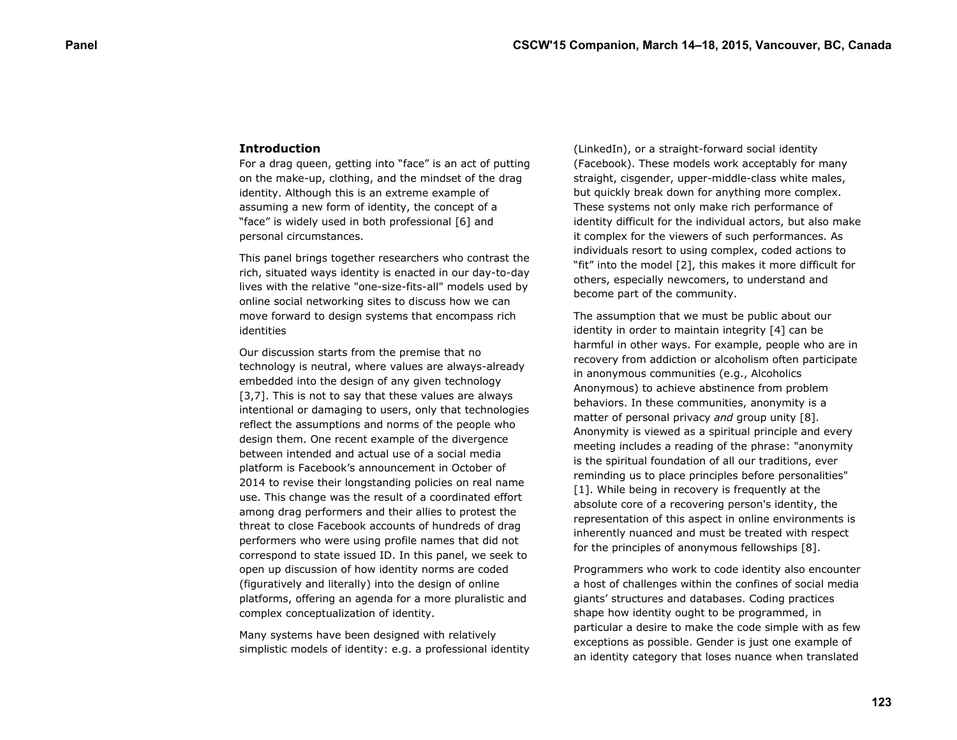## **Introduction**

For a drag queen, getting into "face" is an act of putting on the make-up, clothing, and the mindset of the drag identity. Although this is an extreme example of assuming a new form of identity, the concept of a "face" is widely used in both professional [6] and personal circumstances.

This panel brings together researchers who contrast the rich, situated ways identity is enacted in our day-to-day lives with the relative "one-size-fits-all" models used by online social networking sites to discuss how we can move forward to design systems that encompass rich identities

Our discussion starts from the premise that no technology is neutral, where values are always-already embedded into the design of any given technology [3,7]. This is not to say that these values are always intentional or damaging to users, only that technologies reflect the assumptions and norms of the people who design them. One recent example of the divergence between intended and actual use of a social media platform is Facebook's announcement in October of 2014 to revise their longstanding policies on real name use. This change was the result of a coordinated effort among drag performers and their allies to protest the threat to close Facebook accounts of hundreds of drag performers who were using profile names that did not correspond to state issued ID. In this panel, we seek to open up discussion of how identity norms are coded (figuratively and literally) into the design of online platforms, offering an agenda for a more pluralistic and complex conceptualization of identity.

Many systems have been designed with relatively simplistic models of identity: e.g. a professional identity (LinkedIn), or a straight-forward social identity (Facebook). These models work acceptably for many straight, cisgender, upper-middle-class white males, but quickly break down for anything more complex. These systems not only make rich performance of identity difficult for the individual actors, but also make it complex for the viewers of such performances. As individuals resort to using complex, coded actions to "fit" into the model [2], this makes it more difficult for others, especially newcomers, to understand and become part of the community.

The assumption that we must be public about our identity in order to maintain integrity [4] can be harmful in other ways. For example, people who are in recovery from addiction or alcoholism often participate in anonymous communities (e.g., Alcoholics Anonymous) to achieve abstinence from problem behaviors. In these communities, anonymity is a matter of personal privacy *and* group unity [8]. Anonymity is viewed as a spiritual principle and every meeting includes a reading of the phrase: "anonymity is the spiritual foundation of all our traditions, ever reminding us to place principles before personalities" [1]. While being in recovery is frequently at the absolute core of a recovering person's identity, the representation of this aspect in online environments is inherently nuanced and must be treated with respect for the principles of anonymous fellowships [8].

Programmers who work to code identity also encounter a host of challenges within the confines of social media giants' structures and databases. Coding practices shape how identity ought to be programmed, in particular a desire to make the code simple with as few exceptions as possible. Gender is just one example of an identity category that loses nuance when translated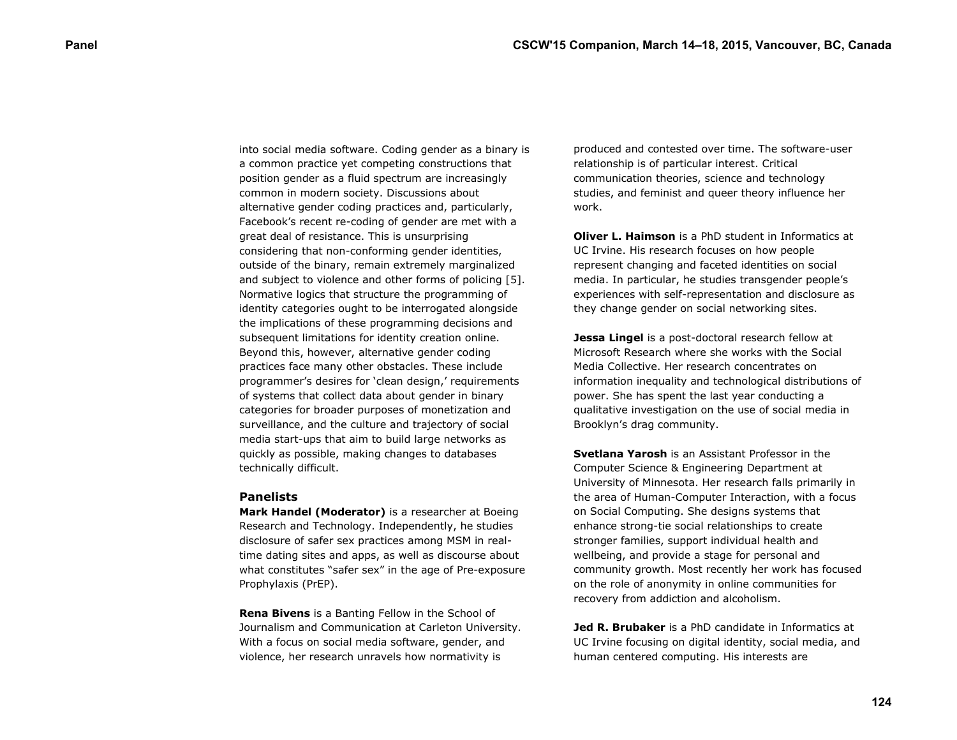into social media software. Coding gender as a binary is a common practice yet competing constructions that position gender as a fluid spectrum are increasingly common in modern society. Discussions about alternative gender coding practices and, particularly, Facebook's recent re-coding of gender are met with a great deal of resistance. This is unsurprising considering that non-conforming gender identities, outside of the binary, remain extremely marginalized and subject to violence and other forms of policing [5]. Normative logics that structure the programming of identity categories ought to be interrogated alongside the implications of these programming decisions and subsequent limitations for identity creation online. Beyond this, however, alternative gender coding practices face many other obstacles. These include programmer's desires for 'clean design,' requirements of systems that collect data about gender in binary categories for broader purposes of monetization and surveillance, and the culture and trajectory of social media start-ups that aim to build large networks as quickly as possible, making changes to databases technically difficult.

## **Panelists**

**Mark Handel (Moderator)** is a researcher at Boeing Research and Technology. Independently, he studies disclosure of safer sex practices among MSM in realtime dating sites and apps, as well as discourse about what constitutes "safer sex" in the age of Pre-exposure Prophylaxis (PrEP).

**Rena Bivens** is a Banting Fellow in the School of Journalism and Communication at Carleton University. With a focus on social media software, gender, and violence, her research unravels how normativity is

produced and contested over time. The software-user relationship is of particular interest. Critical communication theories, science and technology studies, and feminist and queer theory influence her work.

**Oliver L. Haimson** is a PhD student in Informatics at UC Irvine. His research focuses on how people represent changing and faceted identities on social media. In particular, he studies transgender people's experiences with self-representation and disclosure as they change gender on social networking sites.

**Jessa Lingel** is a post-doctoral research fellow at Microsoft Research where she works with the Social Media Collective. Her research concentrates on information inequality and technological distributions of power. She has spent the last year conducting a qualitative investigation on the use of social media in Brooklyn's drag community.

**Svetlana Yarosh** is an Assistant Professor in the Computer Science & Engineering Department at University of Minnesota. Her research falls primarily in the area of Human-Computer Interaction, with a focus on Social Computing. She designs systems that enhance strong-tie social relationships to create stronger families, support individual health and wellbeing, and provide a stage for personal and community growth. Most recently her work has focused on the role of anonymity in online communities for recovery from addiction and alcoholism.

**Jed R. Brubaker** is a PhD candidate in Informatics at UC Irvine focusing on digital identity, social media, and human centered computing. His interests are